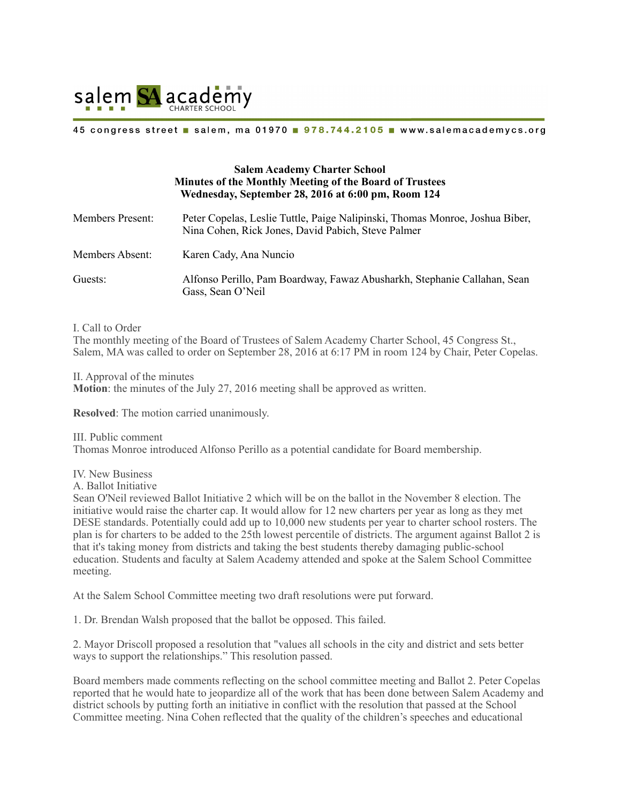

#### 45 congress street salem, ma 01970 978.744.2105 www.salemacademycs.org

# **Salem Academy Charter School Minutes of the Monthly Meeting of the Board of Trustees Wednesday, September 28, 2016 at 6:00 pm, Room 124**

| <b>Members Present:</b> | Peter Copelas, Leslie Tuttle, Paige Nalipinski, Thomas Monroe, Joshua Biber,<br>Nina Cohen, Rick Jones, David Pabich, Steve Palmer |
|-------------------------|------------------------------------------------------------------------------------------------------------------------------------|
| Members Absent:         | Karen Cady, Ana Nuncio                                                                                                             |
| Guests:                 | Alfonso Perillo, Pam Boardway, Fawaz Abusharkh, Stephanie Callahan, Sean<br>Gass, Sean O'Neil                                      |

I. Call to Order

The monthly meeting of the Board of Trustees of Salem Academy Charter School, 45 Congress St., Salem, MA was called to order on September 28, 2016 at 6:17 PM in room 124 by Chair, Peter Copelas.

II. Approval of the minutes **Motion**: the minutes of the July 27, 2016 meeting shall be approved as written.

**Resolved**: The motion carried unanimously.

III. Public comment Thomas Monroe introduced Alfonso Perillo as a potential candidate for Board membership.

IV. New Business

A. Ballot Initiative

Sean O'Neil reviewed Ballot Initiative 2 which will be on the ballot in the November 8 election. The initiative would raise the charter cap. It would allow for 12 new charters per year as long as they met DESE standards. Potentially could add up to 10,000 new students per year to charter school rosters. The plan is for charters to be added to the 25th lowest percentile of districts. The argument against Ballot 2 is that it's taking money from districts and taking the best students thereby damaging public-school education. Students and faculty at Salem Academy attended and spoke at the Salem School Committee meeting.

At the Salem School Committee meeting two draft resolutions were put forward.

1. Dr. Brendan Walsh proposed that the ballot be opposed. This failed.

2. Mayor Driscoll proposed a resolution that "values all schools in the city and district and sets better ways to support the relationships." This resolution passed.

Board members made comments reflecting on the school committee meeting and Ballot 2. Peter Copelas reported that he would hate to jeopardize all of the work that has been done between Salem Academy and district schools by putting forth an initiative in conflict with the resolution that passed at the School Committee meeting. Nina Cohen reflected that the quality of the children's speeches and educational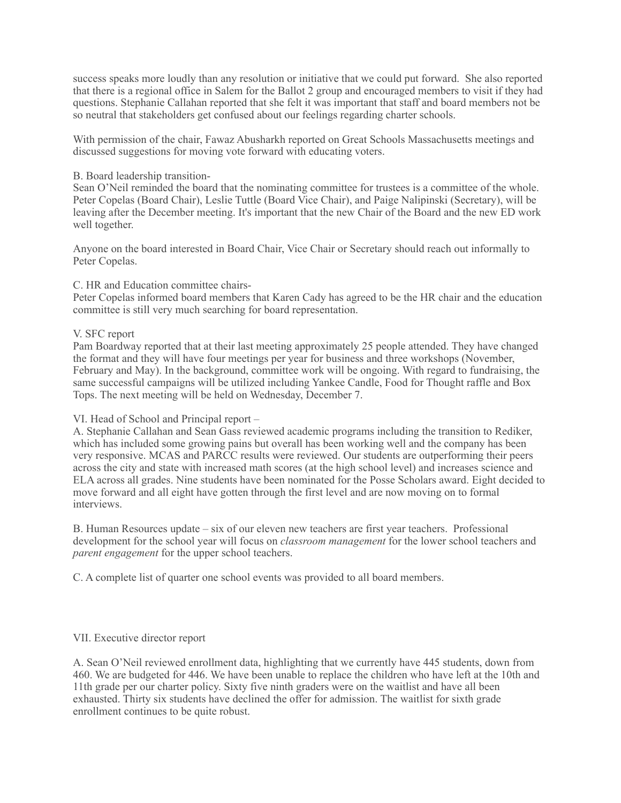success speaks more loudly than any resolution or initiative that we could put forward. She also reported that there is a regional office in Salem for the Ballot 2 group and encouraged members to visit if they had questions. Stephanie Callahan reported that she felt it was important that staff and board members not be so neutral that stakeholders get confused about our feelings regarding charter schools.

With permission of the chair, Fawaz Abusharkh reported on Great Schools Massachusetts meetings and discussed suggestions for moving vote forward with educating voters.

### B. Board leadership transition-

Sean O'Neil reminded the board that the nominating committee for trustees is a committee of the whole. Peter Copelas (Board Chair), Leslie Tuttle (Board Vice Chair), and Paige Nalipinski (Secretary), will be leaving after the December meeting. It's important that the new Chair of the Board and the new ED work well together.

Anyone on the board interested in Board Chair, Vice Chair or Secretary should reach out informally to Peter Copelas.

### C. HR and Education committee chairs-

Peter Copelas informed board members that Karen Cady has agreed to be the HR chair and the education committee is still very much searching for board representation.

### V. SFC report

Pam Boardway reported that at their last meeting approximately 25 people attended. They have changed the format and they will have four meetings per year for business and three workshops (November, February and May). In the background, committee work will be ongoing. With regard to fundraising, the same successful campaigns will be utilized including Yankee Candle, Food for Thought raffle and Box Tops. The next meeting will be held on Wednesday, December 7.

# VI. Head of School and Principal report –

A. Stephanie Callahan and Sean Gass reviewed academic programs including the transition to Rediker, which has included some growing pains but overall has been working well and the company has been very responsive. MCAS and PARCC results were reviewed. Our students are outperforming their peers across the city and state with increased math scores (at the high school level) and increases science and ELA across all grades. Nine students have been nominated for the Posse Scholars award. Eight decided to move forward and all eight have gotten through the first level and are now moving on to formal interviews.

B. Human Resources update – six of our eleven new teachers are first year teachers. Professional development for the school year will focus on *classroom management* for the lower school teachers and *parent engagement* for the upper school teachers.

C. A complete list of quarter one school events was provided to all board members.

#### VII. Executive director report

A. Sean O'Neil reviewed enrollment data, highlighting that we currently have 445 students, down from 460. We are budgeted for 446. We have been unable to replace the children who have left at the 10th and 11th grade per our charter policy. Sixty five ninth graders were on the waitlist and have all been exhausted. Thirty six students have declined the offer for admission. The waitlist for sixth grade enrollment continues to be quite robust.